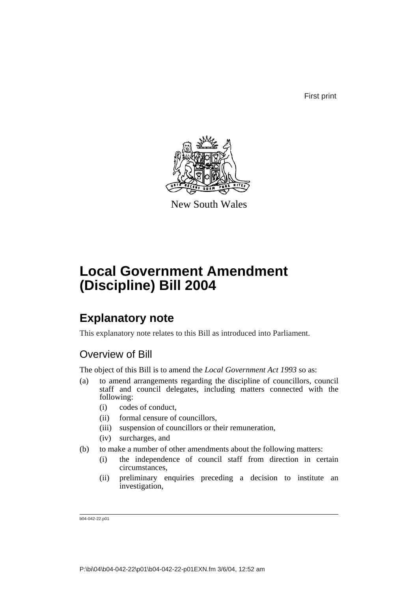First print



New South Wales

# **Local Government Amendment (Discipline) Bill 2004**

# **Explanatory note**

This explanatory note relates to this Bill as introduced into Parliament.

## Overview of Bill

The object of this Bill is to amend the *Local Government Act 1993* so as:

- (a) to amend arrangements regarding the discipline of councillors, council staff and council delegates, including matters connected with the following:
	- (i) codes of conduct,
	- (ii) formal censure of councillors,
	- (iii) suspension of councillors or their remuneration,
	- (iv) surcharges, and
- (b) to make a number of other amendments about the following matters:
	- (i) the independence of council staff from direction in certain circumstances,
	- (ii) preliminary enquiries preceding a decision to institute an investigation,

b04-042-22.p01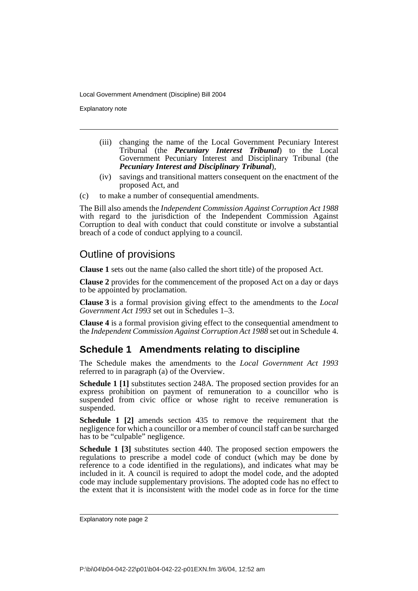Explanatory note

- (iii) changing the name of the Local Government Pecuniary Interest Tribunal (the *Pecuniary Interest Tribunal*) to the Local Government Pecuniary Interest and Disciplinary Tribunal (the *Pecuniary Interest and Disciplinary Tribunal*),
- (iv) savings and transitional matters consequent on the enactment of the proposed Act, and
- (c) to make a number of consequential amendments.

The Bill also amends the *Independent Commission Against Corruption Act 1988* with regard to the jurisdiction of the Independent Commission Against Corruption to deal with conduct that could constitute or involve a substantial breach of a code of conduct applying to a council.

### Outline of provisions

**Clause 1** sets out the name (also called the short title) of the proposed Act.

**Clause 2** provides for the commencement of the proposed Act on a day or days to be appointed by proclamation.

**Clause 3** is a formal provision giving effect to the amendments to the *Local Government Act 1993* set out in Schedules 1–3.

**Clause 4** is a formal provision giving effect to the consequential amendment to the *Independent Commission Against Corruption Act 1988* set out in Schedule 4.

## **Schedule 1 Amendments relating to discipline**

The Schedule makes the amendments to the *Local Government Act 1993* referred to in paragraph (a) of the Overview.

**Schedule 1 [1]** substitutes section 248A. The proposed section provides for an express prohibition on payment of remuneration to a councillor who is suspended from civic office or whose right to receive remuneration is suspended.

**Schedule 1 [2]** amends section 435 to remove the requirement that the negligence for which a councillor or a member of council staff can be surcharged has to be "culpable" negligence.

**Schedule 1 [3]** substitutes section 440. The proposed section empowers the regulations to prescribe a model code of conduct (which may be done by reference to a code identified in the regulations), and indicates what may be included in it. A council is required to adopt the model code, and the adopted code may include supplementary provisions. The adopted code has no effect to the extent that it is inconsistent with the model code as in force for the time

Explanatory note page 2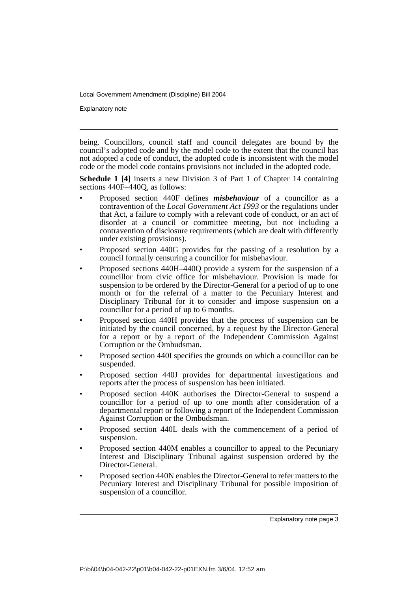Explanatory note

being. Councillors, council staff and council delegates are bound by the council's adopted code and by the model code to the extent that the council has not adopted a code of conduct, the adopted code is inconsistent with the model code or the model code contains provisions not included in the adopted code.

**Schedule 1 [4]** inserts a new Division 3 of Part 1 of Chapter 14 containing sections 440F–440Q, as follows:

- Proposed section 440F defines *misbehaviour* of a councillor as a contravention of the *Local Government Act 1993* or the regulations under that Act, a failure to comply with a relevant code of conduct, or an act of disorder at a council or committee meeting, but not including a contravention of disclosure requirements (which are dealt with differently under existing provisions).
- Proposed section 440G provides for the passing of a resolution by a council formally censuring a councillor for misbehaviour.
- Proposed sections 440H–440Q provide a system for the suspension of a councillor from civic office for misbehaviour. Provision is made for suspension to be ordered by the Director-General for a period of up to one month or for the referral of a matter to the Pecuniary Interest and Disciplinary Tribunal for it to consider and impose suspension on a councillor for a period of up to 6 months.
- Proposed section 440H provides that the process of suspension can be initiated by the council concerned, by a request by the Director-General for a report or by a report of the Independent Commission Against Corruption or the Ombudsman.
- Proposed section 440I specifies the grounds on which a councillor can be suspended.
- Proposed section 440J provides for departmental investigations and reports after the process of suspension has been initiated.
- Proposed section 440K authorises the Director-General to suspend a councillor for a period of up to one month after consideration of a departmental report or following a report of the Independent Commission Against Corruption or the Ombudsman.
- Proposed section 440L deals with the commencement of a period of suspension.
- Proposed section 440M enables a councillor to appeal to the Pecuniary Interest and Disciplinary Tribunal against suspension ordered by the Director-General.
- Proposed section 440N enables the Director-General to refer matters to the Pecuniary Interest and Disciplinary Tribunal for possible imposition of suspension of a councillor.

Explanatory note page 3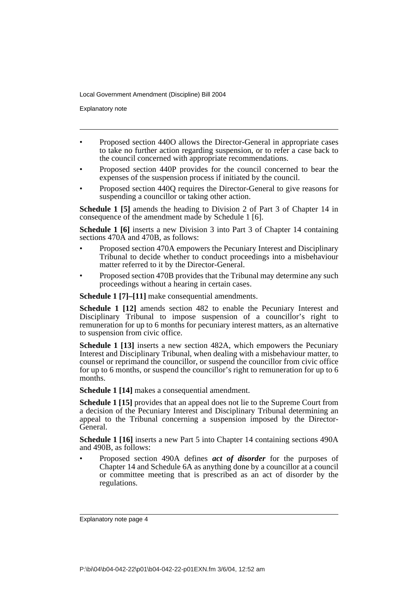Explanatory note

- Proposed section 440O allows the Director-General in appropriate cases to take no further action regarding suspension, or to refer a case back to the council concerned with appropriate recommendations.
- Proposed section 440P provides for the council concerned to bear the expenses of the suspension process if initiated by the council.
- Proposed section 440Q requires the Director-General to give reasons for suspending a councillor or taking other action.

**Schedule 1 [5]** amends the heading to Division 2 of Part 3 of Chapter 14 in consequence of the amendment made by Schedule 1 [6].

**Schedule 1 [6]** inserts a new Division 3 into Part 3 of Chapter 14 containing sections 470A and 470B, as follows:

- Proposed section 470A empowers the Pecuniary Interest and Disciplinary Tribunal to decide whether to conduct proceedings into a misbehaviour matter referred to it by the Director-General.
- Proposed section 470B provides that the Tribunal may determine any such proceedings without a hearing in certain cases.

**Schedule 1 [7]–[11]** make consequential amendments.

**Schedule 1 [12]** amends section 482 to enable the Pecuniary Interest and Disciplinary Tribunal to impose suspension of a councillor's right to remuneration for up to 6 months for pecuniary interest matters, as an alternative to suspension from civic office.

**Schedule 1 [13]** inserts a new section 482A, which empowers the Pecuniary Interest and Disciplinary Tribunal, when dealing with a misbehaviour matter, to counsel or reprimand the councillor, or suspend the councillor from civic office for up to 6 months, or suspend the councillor's right to remuneration for up to 6 months.

**Schedule 1 [14]** makes a consequential amendment.

**Schedule 1 [15]** provides that an appeal does not lie to the Supreme Court from a decision of the Pecuniary Interest and Disciplinary Tribunal determining an appeal to the Tribunal concerning a suspension imposed by the Director-General.

**Schedule 1 [16]** inserts a new Part 5 into Chapter 14 containing sections 490A and 490B, as follows:

• Proposed section 490A defines *act of disorder* for the purposes of Chapter 14 and Schedule 6A as anything done by a councillor at a council or committee meeting that is prescribed as an act of disorder by the regulations.

Explanatory note page 4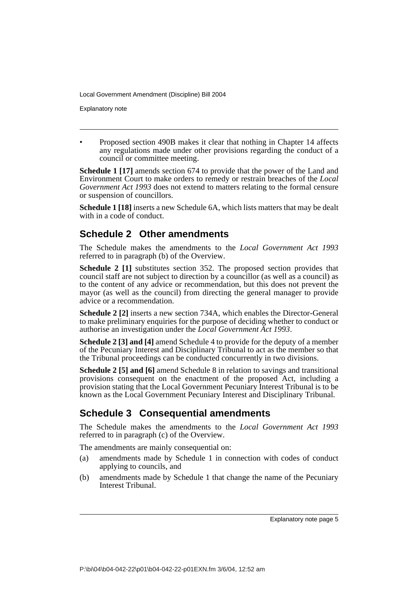Explanatory note

• Proposed section 490B makes it clear that nothing in Chapter 14 affects any regulations made under other provisions regarding the conduct of a council or committee meeting.

**Schedule 1 [17]** amends section 674 to provide that the power of the Land and Environment Court to make orders to remedy or restrain breaches of the *Local Government Act 1993* does not extend to matters relating to the formal censure or suspension of councillors.

**Schedule 1 [18]** inserts a new Schedule 6A, which lists matters that may be dealt with in a code of conduct.

## **Schedule 2 Other amendments**

The Schedule makes the amendments to the *Local Government Act 1993* referred to in paragraph (b) of the Overview.

**Schedule 2** [1] substitutes section 352. The proposed section provides that council staff are not subject to direction by a councillor (as well as a council) as to the content of any advice or recommendation, but this does not prevent the mayor (as well as the council) from directing the general manager to provide advice or a recommendation.

**Schedule 2 [2]** inserts a new section 734A, which enables the Director-General to make preliminary enquiries for the purpose of deciding whether to conduct or authorise an investigation under the *Local Government Act 1993*.

**Schedule 2 [3] and [4]** amend Schedule 4 to provide for the deputy of a member of the Pecuniary Interest and Disciplinary Tribunal to act as the member so that the Tribunal proceedings can be conducted concurrently in two divisions.

**Schedule 2 [5] and [6]** amend Schedule 8 in relation to savings and transitional provisions consequent on the enactment of the proposed Act, including a provision stating that the Local Government Pecuniary Interest Tribunal is to be known as the Local Government Pecuniary Interest and Disciplinary Tribunal.

## **Schedule 3 Consequential amendments**

The Schedule makes the amendments to the *Local Government Act 1993* referred to in paragraph (c) of the Overview.

The amendments are mainly consequential on:

- (a) amendments made by Schedule 1 in connection with codes of conduct applying to councils, and
- (b) amendments made by Schedule 1 that change the name of the Pecuniary Interest Tribunal.

Explanatory note page 5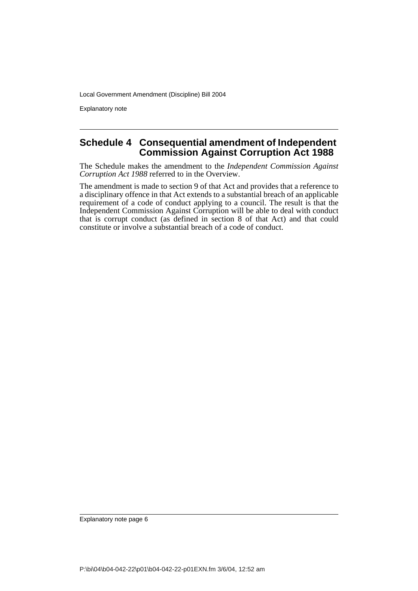Explanatory note

### **Schedule 4 Consequential amendment of Independent Commission Against Corruption Act 1988**

The Schedule makes the amendment to the *Independent Commission Against Corruption Act 1988* referred to in the Overview.

The amendment is made to section 9 of that Act and provides that a reference to a disciplinary offence in that Act extends to a substantial breach of an applicable requirement of a code of conduct applying to a council. The result is that the Independent Commission Against Corruption will be able to deal with conduct that is corrupt conduct (as defined in section 8 of that Act) and that could constitute or involve a substantial breach of a code of conduct.

Explanatory note page 6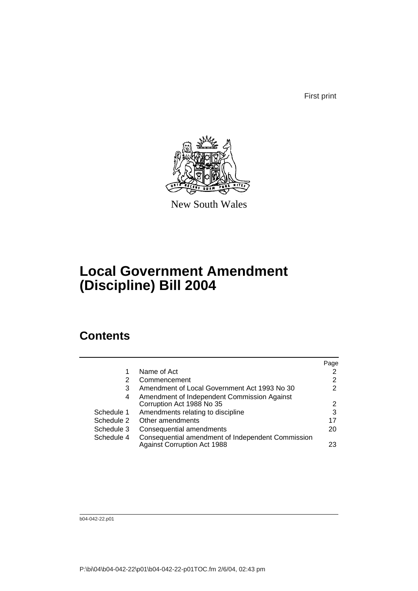First print



New South Wales

# **Local Government Amendment (Discipline) Bill 2004**

# **Contents**

|            |                                                                                         | Page |
|------------|-----------------------------------------------------------------------------------------|------|
|            | Name of Act                                                                             |      |
| 2          | Commencement                                                                            | 2    |
| 3          | Amendment of Local Government Act 1993 No 30                                            | 2    |
| 4          | Amendment of Independent Commission Against                                             |      |
|            | Corruption Act 1988 No 35                                                               | 2    |
| Schedule 1 | Amendments relating to discipline                                                       | 3    |
| Schedule 2 | Other amendments                                                                        | 17   |
| Schedule 3 | Consequential amendments                                                                | 20   |
| Schedule 4 | Consequential amendment of Independent Commission<br><b>Against Corruption Act 1988</b> | 23   |

b04-042-22.p01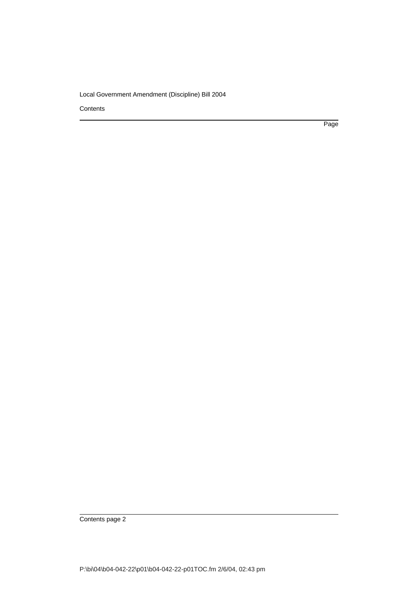**Contents** 

Page

Contents page 2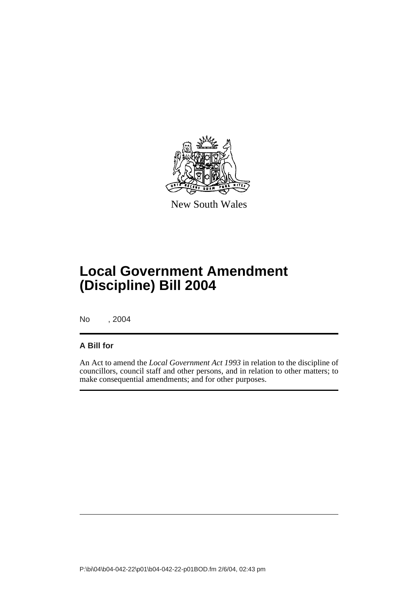

New South Wales

# **Local Government Amendment (Discipline) Bill 2004**

No , 2004

### **A Bill for**

An Act to amend the *Local Government Act 1993* in relation to the discipline of councillors, council staff and other persons, and in relation to other matters; to make consequential amendments; and for other purposes.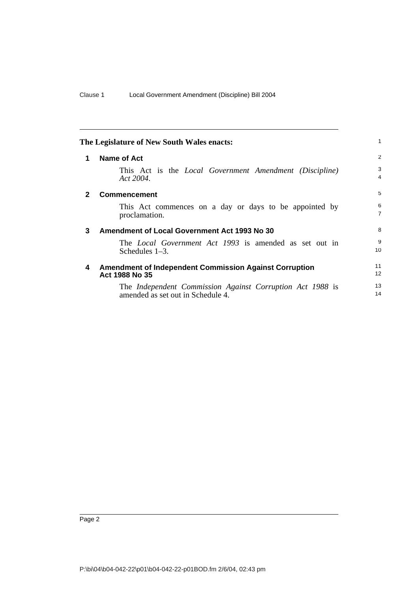<span id="page-9-3"></span><span id="page-9-2"></span><span id="page-9-1"></span><span id="page-9-0"></span>

|              | The Legislature of New South Wales enacts:                                                     | 1                   |
|--------------|------------------------------------------------------------------------------------------------|---------------------|
| 1            | Name of Act                                                                                    | 2                   |
|              | This Act is the <i>Local Government Amendment (Discipline)</i><br>Act $2004$ .                 | 3<br>4              |
| $\mathbf{2}$ | <b>Commencement</b>                                                                            | 5                   |
|              | This Act commences on a day or days to be appointed by<br>proclamation.                        | 6<br>$\overline{7}$ |
| 3            | Amendment of Local Government Act 1993 No 30                                                   | 8                   |
|              | The <i>Local Government Act 1993</i> is amended as set out in<br>Schedules $1-3$ .             | 9<br>10             |
| 4            | <b>Amendment of Independent Commission Against Corruption</b><br>Act 1988 No 35                | 11<br>12            |
|              | The Independent Commission Against Corruption Act 1988 is<br>amended as set out in Schedule 4. | 13<br>14            |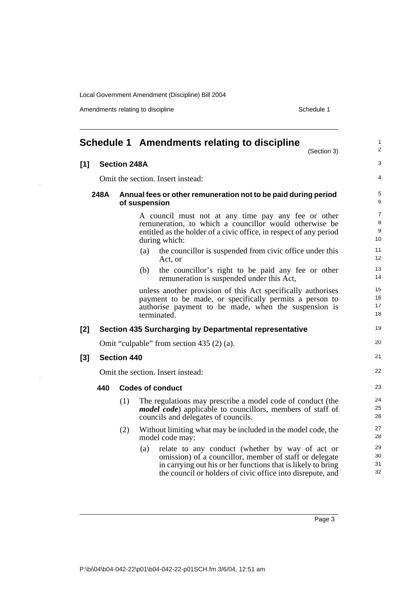Amendments relating to discipline and the set of the Schedule 1 Schedule 1

J.

 $\bar{z}$ 

<span id="page-10-0"></span>

|                                   |      |                     | Schedule 1 Amendments relating to discipline<br>(Section 3)                                                                                                                                                                                    | 1<br>2                         |  |  |
|-----------------------------------|------|---------------------|------------------------------------------------------------------------------------------------------------------------------------------------------------------------------------------------------------------------------------------------|--------------------------------|--|--|
| [1]                               |      | <b>Section 248A</b> |                                                                                                                                                                                                                                                | 3                              |  |  |
| Omit the section. Insert instead: |      |                     |                                                                                                                                                                                                                                                |                                |  |  |
|                                   | 248A |                     | Annual fees or other remuneration not to be paid during period<br>of suspension                                                                                                                                                                | 5<br>6                         |  |  |
|                                   |      |                     | A council must not at any time pay any fee or other<br>remuneration, to which a councillor would otherwise be<br>entitled as the holder of a civic office, in respect of any period<br>during which:                                           | $\overline{7}$<br>8<br>9<br>10 |  |  |
|                                   |      |                     | the councillor is suspended from civic office under this<br>(a)<br>Act, or                                                                                                                                                                     | 11<br>12                       |  |  |
|                                   |      |                     | (b)<br>the councillor's right to be paid any fee or other<br>remuneration is suspended under this Act,                                                                                                                                         | 13<br>14                       |  |  |
|                                   |      |                     | unless another provision of this Act specifically authorises<br>payment to be made, or specifically permits a person to<br>authorise payment to be made, when the suspension is<br>terminated.                                                 | 15<br>16<br>17<br>18           |  |  |
| [2]                               |      |                     | Section 435 Surcharging by Departmental representative                                                                                                                                                                                         | 19                             |  |  |
|                                   |      |                     | Omit "culpable" from section 435 (2) (a).                                                                                                                                                                                                      | 20                             |  |  |
| [3]                               |      | <b>Section 440</b>  |                                                                                                                                                                                                                                                | 21                             |  |  |
|                                   |      |                     | Omit the section. Insert instead:                                                                                                                                                                                                              | 22                             |  |  |
|                                   | 440  |                     | <b>Codes of conduct</b>                                                                                                                                                                                                                        | 23                             |  |  |
|                                   |      | (1)                 | The regulations may prescribe a model code of conduct (the<br><i>model code</i> ) applicable to councillors, members of staff of<br>councils and delegates of councils.                                                                        | 24<br>25<br>26                 |  |  |
|                                   |      | (2)                 | Without limiting what may be included in the model code, the<br>model code may:                                                                                                                                                                | 27<br>28                       |  |  |
|                                   |      |                     | relate to any conduct (whether by way of act or<br>(a)<br>omission) of a councillor, member of staff or delegate<br>in carrying out his or her functions that is likely to bring<br>the council or holders of civic office into disrepute, and | 29<br>30<br>31<br>32           |  |  |
|                                   |      |                     |                                                                                                                                                                                                                                                |                                |  |  |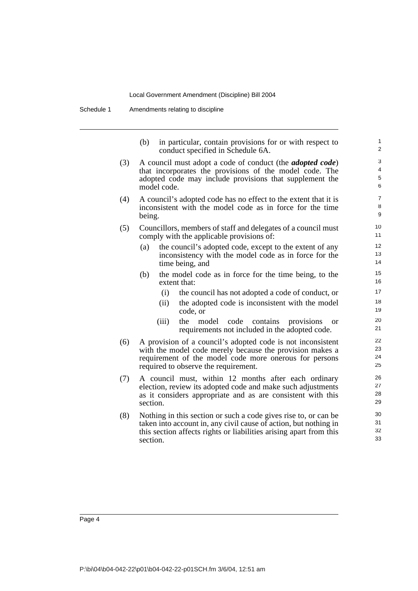(b) in particular, contain provisions for or with respect to conduct specified in Schedule 6A.

- (3) A council must adopt a code of conduct (the *adopted code*) that incorporates the provisions of the model code. The adopted code may include provisions that supplement the model code.
- (4) A council's adopted code has no effect to the extent that it is inconsistent with the model code as in force for the time being.
- (5) Councillors, members of staff and delegates of a council must comply with the applicable provisions of:
	- (a) the council's adopted code, except to the extent of any inconsistency with the model code as in force for the time being, and
	- (b) the model code as in force for the time being, to the extent that:
		- (i) the council has not adopted a code of conduct, or
		- (ii) the adopted code is inconsistent with the model code, or
		- (iii) the model code contains provisions or requirements not included in the adopted code.
- (6) A provision of a council's adopted code is not inconsistent with the model code merely because the provision makes a requirement of the model code more onerous for persons required to observe the requirement.
- (7) A council must, within 12 months after each ordinary election, review its adopted code and make such adjustments as it considers appropriate and as are consistent with this section.
- (8) Nothing in this section or such a code gives rise to, or can be taken into account in, any civil cause of action, but nothing in this section affects rights or liabilities arising apart from this section.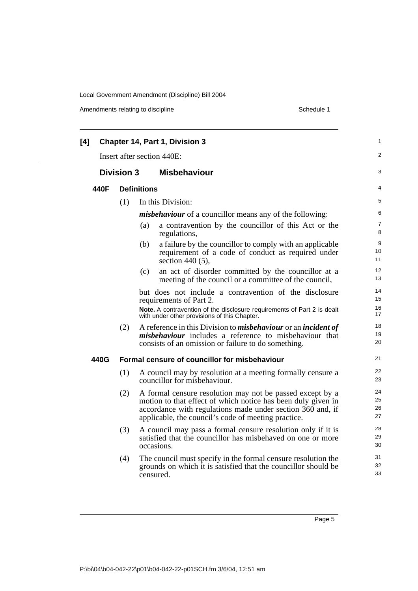Amendments relating to discipline and the set of the Schedule 1 Schedule 1

| [4] |                            |                   | <b>Chapter 14, Part 1, Division 3</b>                                                                                                                                                                                                          | 1                    |  |  |  |
|-----|----------------------------|-------------------|------------------------------------------------------------------------------------------------------------------------------------------------------------------------------------------------------------------------------------------------|----------------------|--|--|--|
|     | Insert after section 440E: |                   |                                                                                                                                                                                                                                                |                      |  |  |  |
|     |                            | <b>Division 3</b> | <b>Misbehaviour</b>                                                                                                                                                                                                                            | 3                    |  |  |  |
|     | 440F                       |                   | <b>Definitions</b>                                                                                                                                                                                                                             | 4                    |  |  |  |
|     |                            | (1)               | In this Division:                                                                                                                                                                                                                              | 5                    |  |  |  |
|     |                            |                   | <i>misbehaviour</i> of a councillor means any of the following:                                                                                                                                                                                | 6                    |  |  |  |
|     |                            |                   | a contravention by the councillor of this Act or the<br>(a)<br>regulations,                                                                                                                                                                    | 7<br>8               |  |  |  |
|     |                            |                   | a failure by the councillor to comply with an applicable<br>(b)<br>requirement of a code of conduct as required under<br>section 440 $(5)$ ,                                                                                                   | 9<br>10<br>11        |  |  |  |
|     |                            |                   | an act of disorder committed by the councillor at a<br>(c)<br>meeting of the council or a committee of the council,                                                                                                                            | 12<br>13             |  |  |  |
|     |                            |                   | but does not include a contravention of the disclosure<br>requirements of Part 2.                                                                                                                                                              | 14<br>15             |  |  |  |
|     |                            |                   | Note. A contravention of the disclosure requirements of Part 2 is dealt<br>with under other provisions of this Chapter.                                                                                                                        | 16<br>17             |  |  |  |
|     |                            | (2)               | A reference in this Division to <i>misbehaviour</i> or an <i>incident of</i><br><i>misbehaviour</i> includes a reference to misbehaviour that<br>consists of an omission or failure to do something.                                           | 18<br>19<br>20       |  |  |  |
|     | 440G                       |                   | Formal censure of councillor for misbehaviour                                                                                                                                                                                                  | 21                   |  |  |  |
|     |                            | (1)               | A council may by resolution at a meeting formally censure a<br>councillor for misbehaviour.                                                                                                                                                    | 22<br>23             |  |  |  |
|     |                            | (2)               | A formal censure resolution may not be passed except by a<br>motion to that effect of which notice has been duly given in<br>accordance with regulations made under section 360 and, if<br>applicable, the council's code of meeting practice. | 24<br>25<br>26<br>27 |  |  |  |
|     |                            | (3)               | A council may pass a formal censure resolution only if it is<br>satisfied that the councillor has misbehaved on one or more<br>occasions.                                                                                                      | 28<br>29<br>30       |  |  |  |
|     |                            | (4)               | The council must specify in the formal censure resolution the<br>grounds on which it is satisfied that the councillor should be<br>censured.                                                                                                   | 31<br>32<br>33       |  |  |  |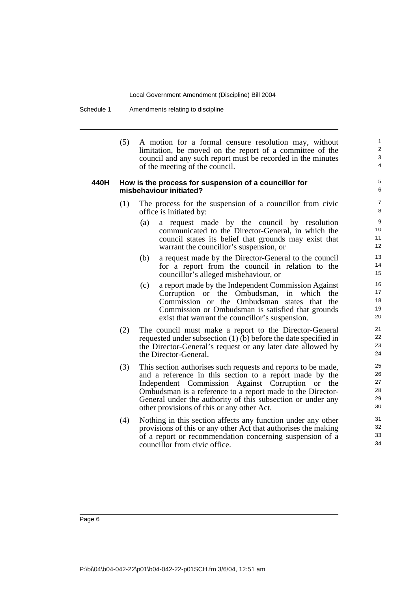Schedule 1 Amendments relating to discipline

(5) A motion for a formal censure resolution may, without limitation, be moved on the report of a committee of the council and any such report must be recorded in the minutes of the meeting of the council.

#### **440H How is the process for suspension of a councillor for misbehaviour initiated?**

- (1) The process for the suspension of a councillor from civic office is initiated by:
	- (a) a request made by the council by resolution communicated to the Director-General, in which the council states its belief that grounds may exist that warrant the councillor's suspension, or
	- (b) a request made by the Director-General to the council for a report from the council in relation to the councillor's alleged misbehaviour, or
	- (c) a report made by the Independent Commission Against Corruption or the Ombudsman, in which the Commission or the Ombudsman states that the Commission or Ombudsman is satisfied that grounds exist that warrant the councillor's suspension.
- (2) The council must make a report to the Director-General requested under subsection (1) (b) before the date specified in the Director-General's request or any later date allowed by the Director-General.
- (3) This section authorises such requests and reports to be made, and a reference in this section to a report made by the Independent Commission Against Corruption or the Ombudsman is a reference to a report made to the Director-General under the authority of this subsection or under any other provisions of this or any other Act.
- (4) Nothing in this section affects any function under any other provisions of this or any other Act that authorises the making of a report or recommendation concerning suspension of a councillor from civic office.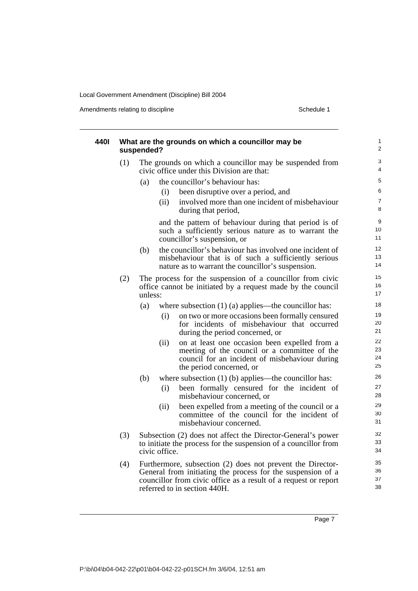Amendments relating to discipline and the set of the Schedule 1 Schedule 1

| 4401 | What are the grounds on which a councillor may be<br>suspended? |                                                                                                                                                                                                                              |                      |  |  |  |  |
|------|-----------------------------------------------------------------|------------------------------------------------------------------------------------------------------------------------------------------------------------------------------------------------------------------------------|----------------------|--|--|--|--|
|      | (1)                                                             | The grounds on which a councillor may be suspended from<br>civic office under this Division are that:                                                                                                                        | 3<br>4               |  |  |  |  |
|      |                                                                 | the councillor's behaviour has:<br>(a)                                                                                                                                                                                       | 5                    |  |  |  |  |
|      |                                                                 | been disruptive over a period, and<br>(i)                                                                                                                                                                                    | 6                    |  |  |  |  |
|      |                                                                 | involved more than one incident of misbehaviour<br>(ii)<br>during that period,                                                                                                                                               | 7<br>8               |  |  |  |  |
|      |                                                                 | and the pattern of behaviour during that period is of                                                                                                                                                                        | 9                    |  |  |  |  |
|      |                                                                 | such a sufficiently serious nature as to warrant the<br>councillor's suspension, or                                                                                                                                          | 10<br>11             |  |  |  |  |
|      |                                                                 | the councillor's behaviour has involved one incident of<br>(b)                                                                                                                                                               | 12                   |  |  |  |  |
|      |                                                                 | misbehaviour that is of such a sufficiently serious<br>nature as to warrant the councillor's suspension.                                                                                                                     | 13<br>14             |  |  |  |  |
|      | (2)                                                             | The process for the suspension of a councillor from civic                                                                                                                                                                    | 15                   |  |  |  |  |
|      |                                                                 | office cannot be initiated by a request made by the council<br>unless:                                                                                                                                                       | 16<br>17             |  |  |  |  |
|      |                                                                 | where subsection $(1)$ (a) applies—the councillor has:<br>(a)                                                                                                                                                                | 18                   |  |  |  |  |
|      |                                                                 | on two or more occasions been formally censured<br>(i)<br>for incidents of misbehaviour that occurred<br>during the period concerned, or                                                                                     | 19<br>20<br>21       |  |  |  |  |
|      |                                                                 | on at least one occasion been expelled from a<br>(ii)<br>meeting of the council or a committee of the<br>council for an incident of misbehaviour during<br>the period concerned, or                                          | 22<br>23<br>24<br>25 |  |  |  |  |
|      |                                                                 | where subsection $(1)$ (b) applies—the councillor has:<br>(b)                                                                                                                                                                | 26                   |  |  |  |  |
|      |                                                                 | been formally censured for the incident of<br>(i)<br>misbehaviour concerned, or                                                                                                                                              | 27<br>28             |  |  |  |  |
|      |                                                                 | been expelled from a meeting of the council or a<br>(ii)<br>committee of the council for the incident of<br>misbehaviour concerned.                                                                                          | 29<br>30<br>31       |  |  |  |  |
|      | (3)                                                             | Subsection (2) does not affect the Director-General's power<br>to initiate the process for the suspension of a councillor from<br>civic office.                                                                              | 32<br>33<br>34       |  |  |  |  |
|      | (4)                                                             | Furthermore, subsection (2) does not prevent the Director-<br>General from initiating the process for the suspension of a<br>councillor from civic office as a result of a request or report<br>referred to in section 440H. | 35<br>36<br>37<br>38 |  |  |  |  |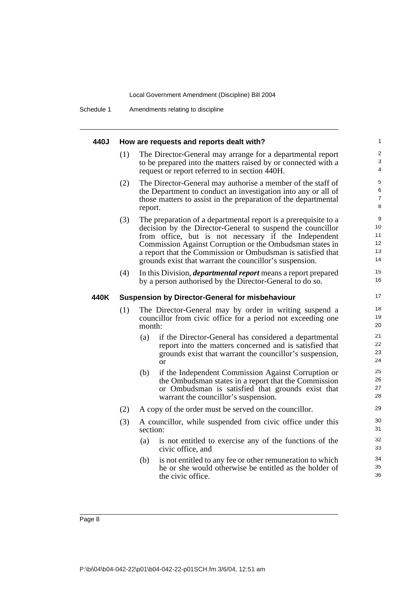| 440J |     | How are requests and reports dealt with?                                                                                                                                                                                                                                                                                                                                    | 1                                 |  |  |  |  |
|------|-----|-----------------------------------------------------------------------------------------------------------------------------------------------------------------------------------------------------------------------------------------------------------------------------------------------------------------------------------------------------------------------------|-----------------------------------|--|--|--|--|
|      | (1) | The Director-General may arrange for a departmental report<br>to be prepared into the matters raised by or connected with a<br>request or report referred to in section 440H.                                                                                                                                                                                               | $\overline{\mathbf{c}}$<br>3<br>4 |  |  |  |  |
|      | (2) | The Director-General may authorise a member of the staff of<br>the Department to conduct an investigation into any or all of<br>those matters to assist in the preparation of the departmental<br>report.                                                                                                                                                                   | 5<br>6<br>$\overline{7}$<br>8     |  |  |  |  |
|      | (3) | The preparation of a departmental report is a prerequisite to a<br>decision by the Director-General to suspend the councillor<br>from office, but is not necessary if the Independent<br>Commission Against Corruption or the Ombudsman states in<br>a report that the Commission or Ombudsman is satisfied that<br>grounds exist that warrant the councillor's suspension. | 9<br>10<br>11<br>12<br>13<br>14   |  |  |  |  |
|      | (4) | In this Division, <i>departmental report</i> means a report prepared<br>by a person authorised by the Director-General to do so.                                                                                                                                                                                                                                            | 15<br>16                          |  |  |  |  |
| 440K |     | <b>Suspension by Director-General for misbehaviour</b>                                                                                                                                                                                                                                                                                                                      | 17                                |  |  |  |  |
|      | (1) | The Director-General may by order in writing suspend a<br>councillor from civic office for a period not exceeding one<br>month:                                                                                                                                                                                                                                             |                                   |  |  |  |  |
|      |     | if the Director-General has considered a departmental<br>(a)<br>report into the matters concerned and is satisfied that<br>grounds exist that warrant the councillor's suspension,<br>$\alpha$                                                                                                                                                                              | 21<br>22<br>23<br>24              |  |  |  |  |
|      |     | (b)<br>if the Independent Commission Against Corruption or<br>the Ombudsman states in a report that the Commission<br>or Ombudsman is satisfied that grounds exist that<br>warrant the councillor's suspension.                                                                                                                                                             | 25<br>26<br>27<br>28              |  |  |  |  |
|      | (2) | A copy of the order must be served on the council or.                                                                                                                                                                                                                                                                                                                       | 29                                |  |  |  |  |
|      | (3) | A councillor, while suspended from civic office under this<br>section:                                                                                                                                                                                                                                                                                                      | 30<br>31                          |  |  |  |  |
|      |     | is not entitled to exercise any of the functions of the<br>(a)<br>civic office, and                                                                                                                                                                                                                                                                                         | 32<br>33                          |  |  |  |  |
|      |     | is not entitled to any fee or other remuneration to which<br>(b)<br>he or she would otherwise be entitled as the holder of<br>the civic office.                                                                                                                                                                                                                             | 34<br>35<br>36                    |  |  |  |  |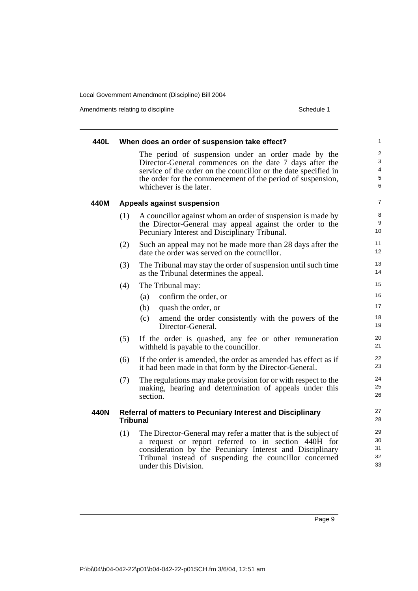Amendments relating to discipline and the set of the Schedule 1 Schedule 1

| 440L |     | When does an order of suspension take effect?                                                                                                                                                                                                                               | 1                                               |
|------|-----|-----------------------------------------------------------------------------------------------------------------------------------------------------------------------------------------------------------------------------------------------------------------------------|-------------------------------------------------|
|      |     | The period of suspension under an order made by the<br>Director-General commences on the date 7 days after the<br>service of the order on the councillor or the date specified in<br>the order for the commencement of the period of suspension,<br>whichever is the later. | $\overline{2}$<br>3<br>$\overline{4}$<br>5<br>6 |
| 440M |     | <b>Appeals against suspension</b>                                                                                                                                                                                                                                           | 7                                               |
|      | (1) | A councillor against whom an order of suspension is made by<br>the Director-General may appeal against the order to the<br>Pecuniary Interest and Disciplinary Tribunal.                                                                                                    | 8<br>9<br>10                                    |
|      | (2) | Such an appeal may not be made more than 28 days after the<br>date the order was served on the councillor.                                                                                                                                                                  | 11<br>12                                        |
|      | (3) | The Tribunal may stay the order of suspension until such time<br>as the Tribunal determines the appeal.                                                                                                                                                                     | 13<br>14                                        |
|      | (4) | The Tribunal may:                                                                                                                                                                                                                                                           | 15                                              |
|      |     | confirm the order, or<br>(a)                                                                                                                                                                                                                                                | 16                                              |
|      |     | (b)<br>quash the order, or                                                                                                                                                                                                                                                  | 17                                              |
|      |     | amend the order consistently with the powers of the<br>(c)<br>Director-General.                                                                                                                                                                                             | 18<br>19                                        |
|      | (5) | If the order is quashed, any fee or other remuneration<br>withheld is payable to the councillor.                                                                                                                                                                            | 20<br>21                                        |
|      | (6) | If the order is amended, the order as amended has effect as if<br>it had been made in that form by the Director-General.                                                                                                                                                    | 22<br>23                                        |
|      | (7) | The regulations may make provision for or with respect to the<br>making, hearing and determination of appeals under this<br>section.                                                                                                                                        | 24<br>25<br>26                                  |
| 440N |     | Referral of matters to Pecuniary Interest and Disciplinary<br><b>Tribunal</b>                                                                                                                                                                                               | 27<br>28                                        |
|      | (1) | The Director-General may refer a matter that is the subject of<br>a request or report referred to in section 440H for<br>consideration by the Pecuniary Interest and Disciplinary<br>Tribunal instead of suspending the councillor concerned<br>under this Division.        | 29<br>30<br>31<br>32<br>33                      |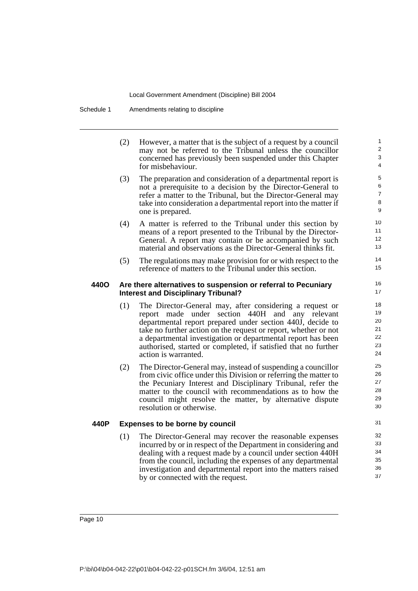Schedule 1 Amendments relating to discipline

(2) However, a matter that is the subject of a request by a council may not be referred to the Tribunal unless the councillor concerned has previously been suspended under this Chapter for misbehaviour.

- (3) The preparation and consideration of a departmental report is not a prerequisite to a decision by the Director-General to refer a matter to the Tribunal, but the Director-General may take into consideration a departmental report into the matter if one is prepared.
- (4) A matter is referred to the Tribunal under this section by means of a report presented to the Tribunal by the Director-General. A report may contain or be accompanied by such material and observations as the Director-General thinks fit.
- (5) The regulations may make provision for or with respect to the reference of matters to the Tribunal under this section.

#### **440O Are there alternatives to suspension or referral to Pecuniary Interest and Disciplinary Tribunal?**

- (1) The Director-General may, after considering a request or report made under section 440H and any relevant departmental report prepared under section 440J, decide to take no further action on the request or report, whether or not a departmental investigation or departmental report has been authorised, started or completed, if satisfied that no further action is warranted.
- (2) The Director-General may, instead of suspending a councillor from civic office under this Division or referring the matter to the Pecuniary Interest and Disciplinary Tribunal, refer the matter to the council with recommendations as to how the council might resolve the matter, by alternative dispute resolution or otherwise.

#### **440P Expenses to be borne by council**

(1) The Director-General may recover the reasonable expenses incurred by or in respect of the Department in considering and dealing with a request made by a council under section 440H from the council, including the expenses of any departmental investigation and departmental report into the matters raised by or connected with the request.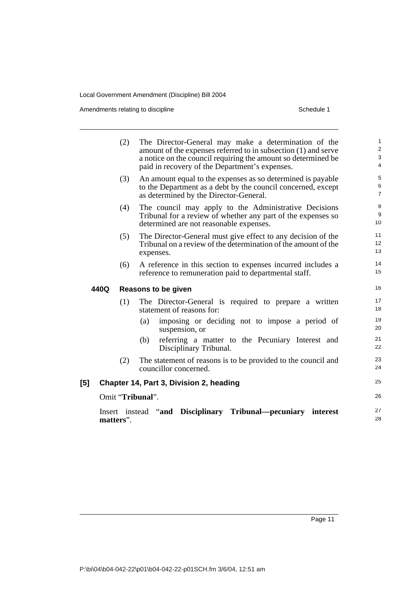Amendments relating to discipline and the set of the Schedule 1 Schedule 1

| (2)              | The Director-General may make a determination of the<br>amount of the expenses referred to in subsection (1) and serve<br>a notice on the council requiring the amount so determined be<br>paid in recovery of the Department's expenses. | 1<br>$\overline{\mathbf{c}}$<br>3<br>4 |
|------------------|-------------------------------------------------------------------------------------------------------------------------------------------------------------------------------------------------------------------------------------------|----------------------------------------|
| (3)              | An amount equal to the expenses as so determined is payable.<br>to the Department as a debt by the council concerned, except<br>as determined by the Director-General.                                                                    | 5<br>6<br>7                            |
| (4)              | The council may apply to the Administrative Decisions<br>Tribunal for a review of whether any part of the expenses so<br>determined are not reasonable expenses.                                                                          | 8<br>9<br>10                           |
| (5)              | The Director-General must give effect to any decision of the<br>Tribunal on a review of the determination of the amount of the<br>expenses.                                                                                               | 11<br>12<br>13                         |
| (6)              | A reference in this section to expenses incurred includes a<br>reference to remuneration paid to departmental staff.                                                                                                                      | 14<br>15                               |
| 440Q             | <b>Reasons to be given</b>                                                                                                                                                                                                                | 16                                     |
| (1)              | The Director-General is required to prepare a written<br>statement of reasons for:                                                                                                                                                        | 17<br>18                               |
|                  | (a)<br>imposing or deciding not to impose a period of<br>suspension, or                                                                                                                                                                   | 19<br>20                               |
|                  | referring a matter to the Pecuniary Interest and<br>(b)<br>Disciplinary Tribunal.                                                                                                                                                         | 21<br>22                               |
| (2)              | The statement of reasons is to be provided to the council and<br>councillor concerned.                                                                                                                                                    | 23<br>24                               |
| [5]              | Chapter 14, Part 3, Division 2, heading                                                                                                                                                                                                   | 25                                     |
| Omit "Tribunal". |                                                                                                                                                                                                                                           | 26                                     |
| matters".        | Insert instead "and Disciplinary Tribunal—pecuniary interest                                                                                                                                                                              | 27<br>28                               |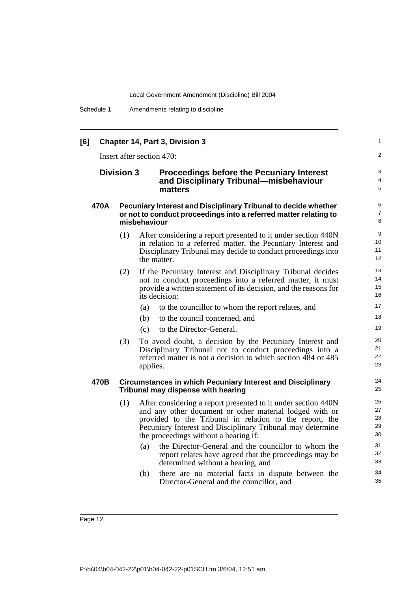Schedule 1 Amendments relating to discipline

| [6] |      |                                                                                                                                                    | <b>Chapter 14, Part 3, Division 3</b>                                                                                                                                                                                                                                                                                                                                                                                                                                                                                                                            | 1                                                        |
|-----|------|----------------------------------------------------------------------------------------------------------------------------------------------------|------------------------------------------------------------------------------------------------------------------------------------------------------------------------------------------------------------------------------------------------------------------------------------------------------------------------------------------------------------------------------------------------------------------------------------------------------------------------------------------------------------------------------------------------------------------|----------------------------------------------------------|
|     |      |                                                                                                                                                    | Insert after section 470:                                                                                                                                                                                                                                                                                                                                                                                                                                                                                                                                        | 2                                                        |
|     |      | <b>Division 3</b>                                                                                                                                  | <b>Proceedings before the Pecuniary Interest</b><br>and Disciplinary Tribunal-misbehaviour<br>matters                                                                                                                                                                                                                                                                                                                                                                                                                                                            | 3<br>$\overline{4}$<br>5                                 |
|     | 470A | Pecuniary Interest and Disciplinary Tribunal to decide whether<br>or not to conduct proceedings into a referred matter relating to<br>misbehaviour |                                                                                                                                                                                                                                                                                                                                                                                                                                                                                                                                                                  |                                                          |
|     |      | (1)                                                                                                                                                | After considering a report presented to it under section 440N<br>in relation to a referred matter, the Pecuniary Interest and<br>Disciplinary Tribunal may decide to conduct proceedings into<br>the matter.                                                                                                                                                                                                                                                                                                                                                     | 9<br>10<br>11<br>12                                      |
|     |      | (2)                                                                                                                                                | If the Pecuniary Interest and Disciplinary Tribunal decides<br>not to conduct proceedings into a referred matter, it must<br>provide a written statement of its decision, and the reasons for<br>its decision:                                                                                                                                                                                                                                                                                                                                                   | 13<br>14<br>15<br>16                                     |
|     |      |                                                                                                                                                    | to the councillor to whom the report relates, and<br>(a)<br>to the council concerned, and<br>(b)<br>to the Director-General.<br>(c)                                                                                                                                                                                                                                                                                                                                                                                                                              | 17<br>18<br>19                                           |
|     |      | (3)                                                                                                                                                | To avoid doubt, a decision by the Pecuniary Interest and<br>Disciplinary Tribunal not to conduct proceedings into a<br>referred matter is not a decision to which section 484 or 485<br>applies.                                                                                                                                                                                                                                                                                                                                                                 | 20<br>21<br>22<br>23                                     |
|     | 470B |                                                                                                                                                    | <b>Circumstances in which Pecuniary Interest and Disciplinary</b><br>Tribunal may dispense with hearing                                                                                                                                                                                                                                                                                                                                                                                                                                                          | 24<br>25                                                 |
|     |      | (1)                                                                                                                                                | After considering a report presented to it under section 440N<br>and any other document or other material lodged with or<br>provided to the Tribunal in relation to the report, the<br>Pecuniary Interest and Disciplinary Tribunal may determine<br>the proceedings without a hearing if:<br>the Director-General and the councillor to whom the<br>(a)<br>report relates have agreed that the proceedings may be<br>determined without a hearing, and<br>there are no material facts in dispute between the<br>(b)<br>Director-General and the councillor, and | 26<br>27<br>28<br>29<br>30<br>31<br>32<br>33<br>34<br>35 |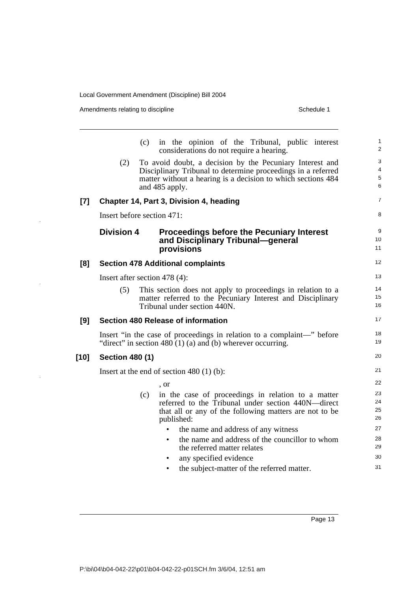Amendments relating to discipline and the state of the Schedule 1

J

 $\ddot{\phantom{a}}$ 

 $\bar{z}$ 

|       |                                                                                                                                       | (c) |                              |                             |  | in the opinion of the Tribunal, public interest<br>considerations do not require a hearing. |    | $\mathbf{1}$<br>2 |
|-------|---------------------------------------------------------------------------------------------------------------------------------------|-----|------------------------------|-----------------------------|--|---------------------------------------------------------------------------------------------|----|-------------------|
|       | (2)                                                                                                                                   |     |                              |                             |  | To avoid doubt, a decision by the Pecuniary Interest and                                    |    | 3                 |
|       |                                                                                                                                       |     |                              |                             |  | Disciplinary Tribunal to determine proceedings in a referred                                |    | 4                 |
|       |                                                                                                                                       |     |                              |                             |  | matter without a hearing is a decision to which sections 484                                |    | 5                 |
|       |                                                                                                                                       |     | and 485 apply.               |                             |  |                                                                                             |    | 6                 |
| $[7]$ | Chapter 14, Part 3, Division 4, heading                                                                                               |     |                              |                             |  |                                                                                             |    | $\overline{7}$    |
|       | Insert before section 471:                                                                                                            |     |                              |                             |  |                                                                                             |    | 8                 |
|       | <b>Division 4</b>                                                                                                                     |     |                              |                             |  | <b>Proceedings before the Pecuniary Interest</b>                                            |    | 9                 |
|       |                                                                                                                                       |     |                              |                             |  | and Disciplinary Tribunal-general                                                           |    | 10                |
|       |                                                                                                                                       |     | provisions                   |                             |  |                                                                                             |    | 11                |
| [8]   | <b>Section 478 Additional complaints</b>                                                                                              |     |                              |                             |  |                                                                                             |    | 12                |
|       | Insert after section 478 (4):                                                                                                         |     |                              |                             |  |                                                                                             |    | 13                |
|       | (5)<br>This section does not apply to proceedings in relation to a                                                                    |     |                              |                             |  |                                                                                             | 14 |                   |
|       |                                                                                                                                       |     |                              |                             |  | matter referred to the Pecuniary Interest and Disciplinary                                  |    | 15                |
|       |                                                                                                                                       |     | Tribunal under section 440N. |                             |  |                                                                                             |    | 16                |
| [9]   | <b>Section 480 Release of information</b>                                                                                             |     |                              |                             |  |                                                                                             |    | 17                |
|       | Insert "in the case of proceedings in relation to a complaint—" before<br>"direct" in section 480 (1) (a) and (b) wherever occurring. |     |                              |                             |  |                                                                                             |    | 18<br>19          |
| [10]  | <b>Section 480 (1)</b>                                                                                                                |     |                              |                             |  |                                                                                             |    | 20                |
|       | Insert at the end of section $480(1)(b)$ :                                                                                            |     |                              |                             |  |                                                                                             |    | 21                |
|       |                                                                                                                                       |     | , or                         |                             |  |                                                                                             |    | 22                |
|       |                                                                                                                                       | (c) |                              |                             |  | in the case of proceedings in relation to a matter                                          |    | 23                |
|       |                                                                                                                                       |     |                              |                             |  | referred to the Tribunal under section 440N—direct                                          |    | 24                |
|       |                                                                                                                                       |     |                              |                             |  | that all or any of the following matters are not to be                                      |    | 25                |
|       |                                                                                                                                       |     | published:                   |                             |  |                                                                                             |    | 26                |
|       |                                                                                                                                       |     |                              |                             |  | the name and address of any witness                                                         |    | 27                |
|       |                                                                                                                                       |     | $\bullet$                    |                             |  | the name and address of the councillor to whom                                              |    | 28                |
|       |                                                                                                                                       |     |                              | the referred matter relates |  |                                                                                             |    | 29                |
|       |                                                                                                                                       |     |                              | any specified evidence      |  |                                                                                             |    | 30                |
|       |                                                                                                                                       |     | $\bullet$                    |                             |  | the subject-matter of the referred matter.                                                  |    | 31                |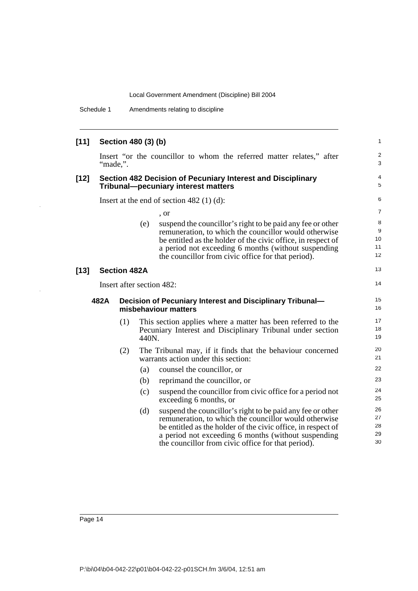| $[11]$ |      | Section 480 (3) (b) |       |                                                                                                                                                                                                                                                                                                  | 1                          |
|--------|------|---------------------|-------|--------------------------------------------------------------------------------------------------------------------------------------------------------------------------------------------------------------------------------------------------------------------------------------------------|----------------------------|
|        |      | "made,".            |       | Insert "or the councillor to whom the referred matter relates," after                                                                                                                                                                                                                            | $\overline{c}$<br>3        |
| $[12]$ |      |                     |       | Section 482 Decision of Pecuniary Interest and Disciplinary<br>Tribunal-pecuniary interest matters                                                                                                                                                                                               | 4<br>5                     |
|        |      |                     |       | Insert at the end of section 482 $(1)$ (d):                                                                                                                                                                                                                                                      | 6                          |
|        |      |                     |       | , or                                                                                                                                                                                                                                                                                             | 7                          |
|        |      |                     | (e)   | suspend the council or's right to be paid any fee or other<br>remuneration, to which the councillor would otherwise<br>be entitled as the holder of the civic office, in respect of<br>a period not exceeding 6 months (without suspending<br>the councillor from civic office for that period). | 8<br>9<br>10<br>11<br>12   |
| $[13]$ |      | <b>Section 482A</b> |       |                                                                                                                                                                                                                                                                                                  | 13                         |
|        |      |                     |       | Insert after section 482:                                                                                                                                                                                                                                                                        | 14                         |
|        | 482A |                     |       | Decision of Pecuniary Interest and Disciplinary Tribunal-<br>misbehaviour matters                                                                                                                                                                                                                | 15<br>16                   |
|        |      | (1)                 | 440N. | This section applies where a matter has been referred to the<br>Pecuniary Interest and Disciplinary Tribunal under section                                                                                                                                                                       | 17<br>18<br>19             |
|        |      | (2)                 |       | The Tribunal may, if it finds that the behaviour concerned<br>warrants action under this section:                                                                                                                                                                                                | 20<br>21                   |
|        |      |                     | (a)   | counsel the councillor, or                                                                                                                                                                                                                                                                       | 22                         |
|        |      |                     | (b)   | reprimand the councillor, or                                                                                                                                                                                                                                                                     | 23                         |
|        |      |                     | (c)   | suspend the councillor from civic office for a period not<br>exceeding 6 months, or                                                                                                                                                                                                              | 24<br>25                   |
|        |      |                     | (d)   | suspend the council or's right to be paid any fee or other<br>remuneration, to which the councillor would otherwise<br>be entitled as the holder of the civic office, in respect of<br>a period not exceeding 6 months (without suspending<br>the councillor from civic office for that period). | 26<br>27<br>28<br>29<br>30 |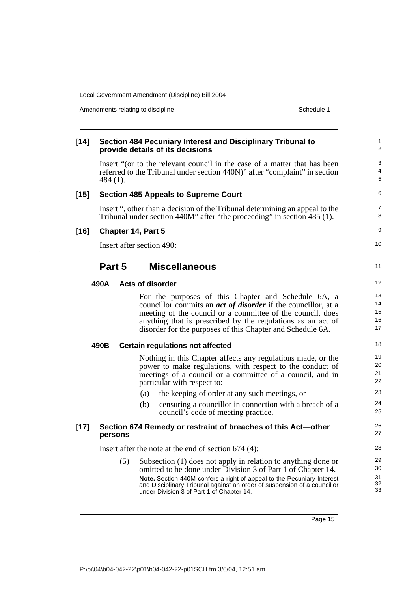Amendments relating to discipline Schedule 1

#### **[14] Section 484 Pecuniary Interest and Disciplinary Tribunal to provide details of its decisions** Insert "(or to the relevant council in the case of a matter that has been referred to the Tribunal under section 440N)" after "complaint" in section 484 (1). **[15] Section 485 Appeals to Supreme Court** Insert ", other than a decision of the Tribunal determining an appeal to the Tribunal under section 440M" after "the proceeding" in section 485 (1). **[16] Chapter 14, Part 5** Insert after section 490: **Part 5 Miscellaneous 490A Acts of disorder** For the purposes of this Chapter and Schedule 6A, a councillor commits an *act of disorder* if the councillor, at a meeting of the council or a committee of the council, does anything that is prescribed by the regulations as an act of disorder for the purposes of this Chapter and Schedule 6A. **490B Certain regulations not affected** Nothing in this Chapter affects any regulations made, or the power to make regulations, with respect to the conduct of meetings of a council or a committee of a council, and in particular with respect to: (a) the keeping of order at any such meetings, or (b) censuring a councillor in connection with a breach of a council's code of meeting practice. **[17] Section 674 Remedy or restraint of breaches of this Act—other persons** Insert after the note at the end of section 674 (4): (5) Subsection (1) does not apply in relation to anything done or omitted to be done under Division 3 of Part 1 of Chapter 14. **Note.** Section 440M confers a right of appeal to the Pecuniary Interest and Disciplinary Tribunal against an order of suspension of a councillor under Division 3 of Part 1 of Chapter 14. 1  $\overline{2}$ 3 4 5 6 7 8 9 10 11 12 13 14 15 16 17 18 19 20 21 22 23 24 25 26 27 28 29 30 31 32 33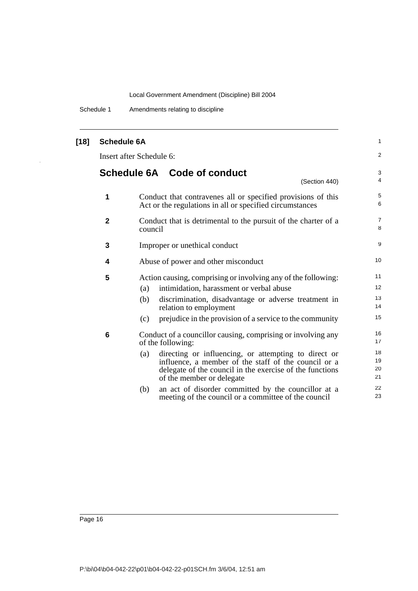Schedule 1 Amendments relating to discipline

| $[18]$ | <b>Schedule 6A</b>                                  |                                                                                                                          |                                                                                                                                                                                                       | 1                    |  |  |  |  |
|--------|-----------------------------------------------------|--------------------------------------------------------------------------------------------------------------------------|-------------------------------------------------------------------------------------------------------------------------------------------------------------------------------------------------------|----------------------|--|--|--|--|
|        | Insert after Schedule 6:                            |                                                                                                                          |                                                                                                                                                                                                       |                      |  |  |  |  |
|        | <b>Schedule 6A Code of conduct</b><br>(Section 440) |                                                                                                                          |                                                                                                                                                                                                       |                      |  |  |  |  |
|        | 1                                                   | Conduct that contravenes all or specified provisions of this<br>Act or the regulations in all or specified circumstances |                                                                                                                                                                                                       |                      |  |  |  |  |
|        | $\mathbf{2}$                                        | council                                                                                                                  | Conduct that is detrimental to the pursuit of the charter of a                                                                                                                                        | 7<br>8               |  |  |  |  |
|        | Improper or unethical conduct<br>3                  |                                                                                                                          |                                                                                                                                                                                                       |                      |  |  |  |  |
|        | 4                                                   | Abuse of power and other misconduct                                                                                      |                                                                                                                                                                                                       |                      |  |  |  |  |
|        | 5                                                   | (a)                                                                                                                      | Action causing, comprising or involving any of the following:<br>intimidation, harassment or verbal abuse                                                                                             | 11<br>12             |  |  |  |  |
|        |                                                     | (b)                                                                                                                      | discrimination, disadvantage or adverse treatment in<br>relation to employment                                                                                                                        | 13<br>14             |  |  |  |  |
|        |                                                     | (c)                                                                                                                      | prejudice in the provision of a service to the community                                                                                                                                              | 15                   |  |  |  |  |
|        | 6                                                   |                                                                                                                          | Conduct of a councillor causing, comprising or involving any<br>of the following:                                                                                                                     | 16<br>17             |  |  |  |  |
|        |                                                     | (a)                                                                                                                      | directing or influencing, or attempting to direct or<br>influence, a member of the staff of the council or a<br>delegate of the council in the exercise of the functions<br>of the member or delegate | 18<br>19<br>20<br>21 |  |  |  |  |
|        |                                                     | (b)                                                                                                                      | an act of disorder committed by the councillor at a<br>meeting of the council or a committee of the council                                                                                           | 22<br>23             |  |  |  |  |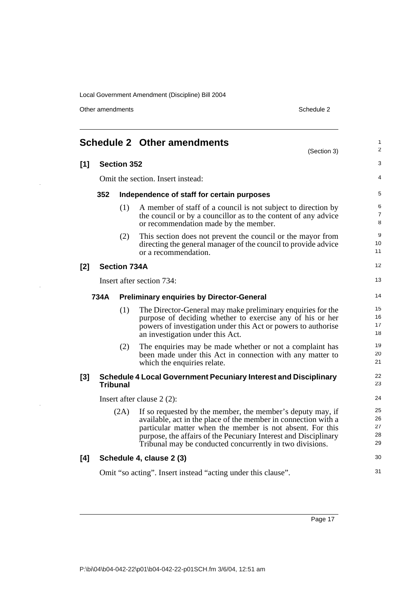Other amendments Schedule 2

l.

J,

<span id="page-24-0"></span>

|       |                              |                     | <b>Schedule 2 Other amendments</b>                                                                                                                                                                                                                                                                                       | $\mathbf{1}$               |
|-------|------------------------------|---------------------|--------------------------------------------------------------------------------------------------------------------------------------------------------------------------------------------------------------------------------------------------------------------------------------------------------------------------|----------------------------|
|       |                              |                     | (Section 3)                                                                                                                                                                                                                                                                                                              | 2                          |
| $[1]$ |                              | <b>Section 352</b>  |                                                                                                                                                                                                                                                                                                                          | 3                          |
|       |                              |                     | Omit the section. Insert instead:                                                                                                                                                                                                                                                                                        | 4                          |
|       | 352                          |                     | Independence of staff for certain purposes                                                                                                                                                                                                                                                                               | 5                          |
|       |                              | (1)                 | A member of staff of a council is not subject to direction by<br>the council or by a council lor as to the content of any advice<br>or recommendation made by the member.                                                                                                                                                | 6<br>$\overline{7}$<br>8   |
|       |                              | (2)                 | This section does not prevent the council or the mayor from<br>directing the general manager of the council to provide advice<br>or a recommendation.                                                                                                                                                                    | 9<br>10<br>11              |
| [2]   |                              | <b>Section 734A</b> |                                                                                                                                                                                                                                                                                                                          | 12                         |
|       |                              |                     | Insert after section 734:                                                                                                                                                                                                                                                                                                | 13                         |
|       | 734A                         |                     | <b>Preliminary enquiries by Director-General</b>                                                                                                                                                                                                                                                                         | 14                         |
|       |                              | (1)                 | The Director-General may make preliminary enquiries for the<br>purpose of deciding whether to exercise any of his or her<br>powers of investigation under this Act or powers to authorise<br>an investigation under this Act.                                                                                            | 15<br>16<br>17<br>18       |
|       |                              | (2)                 | The enquiries may be made whether or not a complaint has<br>been made under this Act in connection with any matter to<br>which the enquiries relate.                                                                                                                                                                     | 19<br>20<br>21             |
| [3]   |                              | <b>Tribunal</b>     | <b>Schedule 4 Local Government Pecuniary Interest and Disciplinary</b>                                                                                                                                                                                                                                                   | 22<br>23                   |
|       | Insert after clause $2(2)$ : |                     | 24                                                                                                                                                                                                                                                                                                                       |                            |
|       |                              | (2A)                | If so requested by the member, the member's deputy may, if<br>available, act in the place of the member in connection with a<br>particular matter when the member is not absent. For this<br>purpose, the affairs of the Pecuniary Interest and Disciplinary<br>Tribunal may be conducted concurrently in two divisions. | 25<br>26<br>27<br>28<br>29 |
| [4]   |                              |                     | Schedule 4, clause 2 (3)                                                                                                                                                                                                                                                                                                 | 30                         |
|       |                              |                     | Omit "so acting". Insert instead "acting under this clause".                                                                                                                                                                                                                                                             | 31                         |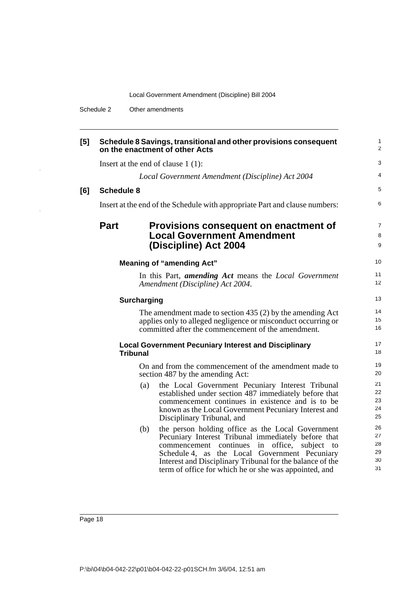Schedule 2 Other amendments

 $\ddot{\phantom{0}}$ 

| [5] |                   | Schedule 8 Savings, transitional and other provisions consequent<br>on the enactment of other Acts                                                                                                                                                                                                                                              | 1<br>$\overline{c}$              |
|-----|-------------------|-------------------------------------------------------------------------------------------------------------------------------------------------------------------------------------------------------------------------------------------------------------------------------------------------------------------------------------------------|----------------------------------|
|     |                   | Insert at the end of clause $1(1)$ :                                                                                                                                                                                                                                                                                                            | 3                                |
|     |                   | Local Government Amendment (Discipline) Act 2004                                                                                                                                                                                                                                                                                                | 4                                |
| [6] | <b>Schedule 8</b> |                                                                                                                                                                                                                                                                                                                                                 | 5                                |
|     |                   | Insert at the end of the Schedule with appropriate Part and clause numbers:                                                                                                                                                                                                                                                                     | 6                                |
|     | <b>Part</b>       | Provisions consequent on enactment of<br><b>Local Government Amendment</b><br>(Discipline) Act 2004                                                                                                                                                                                                                                             | $\overline{7}$<br>8<br>9         |
|     |                   | <b>Meaning of "amending Act"</b>                                                                                                                                                                                                                                                                                                                | 10                               |
|     |                   | In this Part, <i>amending Act</i> means the <i>Local Government</i><br>Amendment (Discipline) Act 2004.                                                                                                                                                                                                                                         | 11<br>12                         |
|     |                   | <b>Surcharging</b>                                                                                                                                                                                                                                                                                                                              | 13                               |
|     |                   | The amendment made to section $435(2)$ by the amending Act<br>applies only to alleged negligence or misconduct occurring or<br>committed after the commencement of the amendment.                                                                                                                                                               | 14<br>15<br>16                   |
|     |                   | <b>Local Government Pecuniary Interest and Disciplinary</b><br><b>Tribunal</b>                                                                                                                                                                                                                                                                  | 17<br>18                         |
|     |                   | On and from the commencement of the amendment made to<br>section 487 by the amending Act:                                                                                                                                                                                                                                                       | 19<br>20                         |
|     |                   | the Local Government Pecuniary Interest Tribunal<br>(a)<br>established under section 487 immediately before that<br>commencement continues in existence and is to be<br>known as the Local Government Pecuniary Interest and<br>Disciplinary Tribunal, and                                                                                      | 21<br>22<br>23<br>24<br>25       |
|     |                   | the person holding office as the Local Government<br>(b)<br>Pecuniary Interest Tribunal immediately before that<br>commencement continues<br>in office,<br>subject<br>to<br>Schedule 4, as the Local Government Pecuniary<br>Interest and Disciplinary Tribunal for the balance of the<br>term of office for which he or she was appointed, and | 26<br>27<br>28<br>29<br>30<br>31 |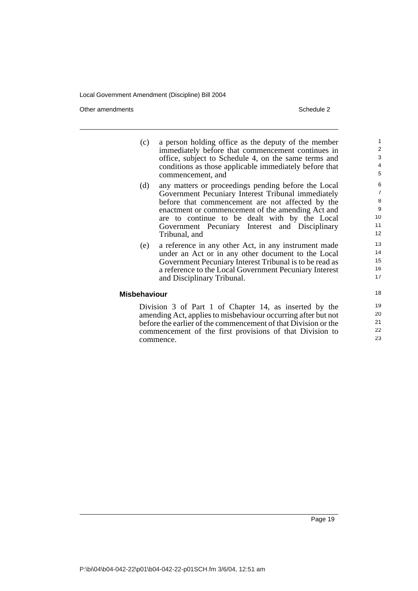Other amendments **Schedule 2** and 3 and 3 and 3 and 3 and 3 and 3 and 3 and 3 and 3 and 3 and 3 and 3 and 3 and 3 and 3 and 3 and 3 and 3 and 3 and 3 and 3 and 3 and 3 and 3 and 3 and 3 and 3 and 3 and 3 and 3 and 3 and 3

- (c) a person holding office as the deputy of the member immediately before that commencement continues in office, subject to Schedule 4, on the same terms and conditions as those applicable immediately before that commencement, and
- (d) any matters or proceedings pending before the Local Government Pecuniary Interest Tribunal immediately before that commencement are not affected by the enactment or commencement of the amending Act and are to continue to be dealt with by the Local Government Pecuniary Interest and Disciplinary Tribunal, and
- (e) a reference in any other Act, in any instrument made under an Act or in any other document to the Local Government Pecuniary Interest Tribunal is to be read as a reference to the Local Government Pecuniary Interest and Disciplinary Tribunal.

#### **Misbehaviour**

Division 3 of Part 1 of Chapter 14, as inserted by the amending Act, applies to misbehaviour occurring after but not before the earlier of the commencement of that Division or the commencement of the first provisions of that Division to commence.

23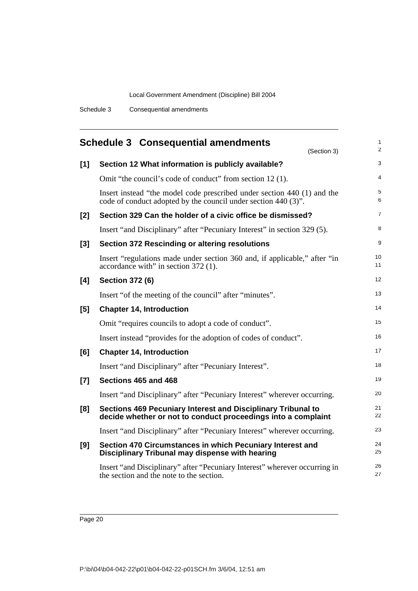<span id="page-27-0"></span>

|       | <b>Schedule 3 Consequential amendments</b>                                                                                                | 1<br>$\overline{2}$ |
|-------|-------------------------------------------------------------------------------------------------------------------------------------------|---------------------|
| [1]   | (Section 3)<br>Section 12 What information is publicly available?                                                                         | 3                   |
|       | Omit "the council's code of conduct" from section 12(1).                                                                                  | 4                   |
|       | Insert instead "the model code prescribed under section 440 (1) and the<br>code of conduct adopted by the council under section 440 (3)". | 5<br>6              |
| [2]   | Section 329 Can the holder of a civic office be dismissed?                                                                                | $\overline{7}$      |
|       | Insert "and Disciplinary" after "Pecuniary Interest" in section 329 (5).                                                                  | 8                   |
| [3]   | <b>Section 372 Rescinding or altering resolutions</b>                                                                                     | 9                   |
|       | Insert "regulations made under section 360 and, if applicable," after "in<br>accordance with" in section 372 (1).                         | 10<br>11            |
| [4]   | <b>Section 372 (6)</b>                                                                                                                    | 12                  |
|       | Insert "of the meeting of the council" after "minutes".                                                                                   | 13                  |
| [5]   | <b>Chapter 14, Introduction</b>                                                                                                           | 14                  |
|       | Omit "requires councils to adopt a code of conduct".                                                                                      | 15                  |
|       | Insert instead "provides for the adoption of codes of conduct".                                                                           | 16                  |
| [6]   | <b>Chapter 14, Introduction</b>                                                                                                           | 17                  |
|       | Insert "and Disciplinary" after "Pecuniary Interest".                                                                                     | 18                  |
| $[7]$ | Sections 465 and 468                                                                                                                      | 19                  |
|       | Insert "and Disciplinary" after "Pecuniary Interest" wherever occurring.                                                                  | 20                  |
| [8]   | Sections 469 Pecuniary Interest and Disciplinary Tribunal to<br>decide whether or not to conduct proceedings into a complaint             | 21<br>22            |
|       | Insert "and Disciplinary" after "Pecuniary Interest" wherever occurring.                                                                  | 23                  |
| [9]   | Section 470 Circumstances in which Pecuniary Interest and<br>Disciplinary Tribunal may dispense with hearing                              | 24<br>25            |
|       | Insert "and Disciplinary" after "Pecuniary Interest" wherever occurring in<br>the section and the note to the section.                    | 26<br>27            |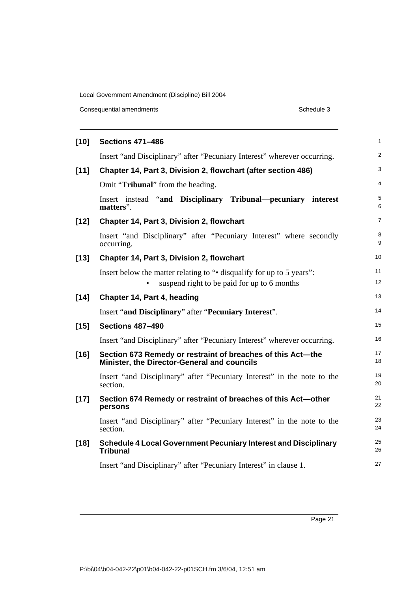Consequential amendments **Schedule 3** Schedule 3

 $\ddot{\phantom{a}}$ 

| [10]   | <b>Sections 471-486</b>                                                                                    | 1        |
|--------|------------------------------------------------------------------------------------------------------------|----------|
|        | Insert "and Disciplinary" after "Pecuniary Interest" wherever occurring.                                   | 2        |
| $[11]$ | Chapter 14, Part 3, Division 2, flowchart (after section 486)                                              | 3        |
|        | Omit "Tribunal" from the heading.                                                                          | 4        |
|        | Insert instead "and Disciplinary Tribunal-pecuniary interest<br>matters".                                  | 5<br>6   |
| $[12]$ | Chapter 14, Part 3, Division 2, flowchart                                                                  | 7        |
|        | Insert "and Disciplinary" after "Pecuniary Interest" where secondly<br>occurring.                          | 8<br>9   |
| $[13]$ | Chapter 14, Part 3, Division 2, flowchart                                                                  | 10       |
|        | Insert below the matter relating to "• disqualify for up to 5 years":                                      | 11       |
|        | suspend right to be paid for up to 6 months                                                                | 12       |
| $[14]$ | Chapter 14, Part 4, heading                                                                                | 13       |
|        | Insert "and Disciplinary" after "Pecuniary Interest".                                                      | 14       |
| $[15]$ | <b>Sections 487-490</b>                                                                                    | 15       |
|        | Insert "and Disciplinary" after "Pecuniary Interest" wherever occurring.                                   | 16       |
| $[16]$ | Section 673 Remedy or restraint of breaches of this Act-the<br>Minister, the Director-General and councils | 17<br>18 |
|        | Insert "and Disciplinary" after "Pecuniary Interest" in the note to the<br>section.                        | 19<br>20 |
| $[17]$ | Section 674 Remedy or restraint of breaches of this Act-other<br>persons                                   | 21<br>22 |
|        | Insert "and Disciplinary" after "Pecuniary Interest" in the note to the<br>section.                        | 23<br>24 |
| $[18]$ | <b>Schedule 4 Local Government Pecuniary Interest and Disciplinary</b><br><b>Tribunal</b>                  | 25<br>26 |
|        | Insert "and Disciplinary" after "Pecuniary Interest" in clause 1.                                          | 27       |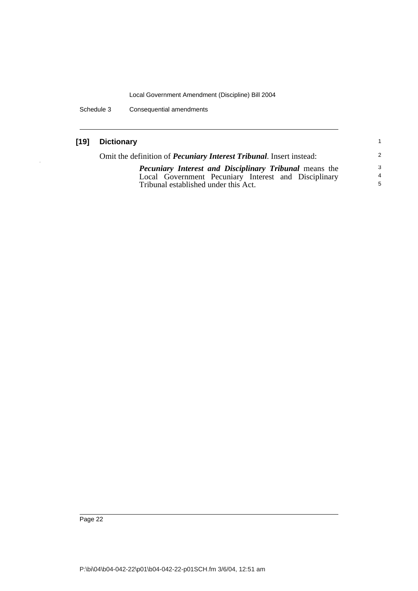Schedule 3 Consequential amendments

### **[19] Dictionary**

Omit the definition of *Pecuniary Interest Tribunal*. Insert instead:

*Pecuniary Interest and Disciplinary Tribunal* means the Local Government Pecuniary Interest and Disciplinary Tribunal established under this Act.